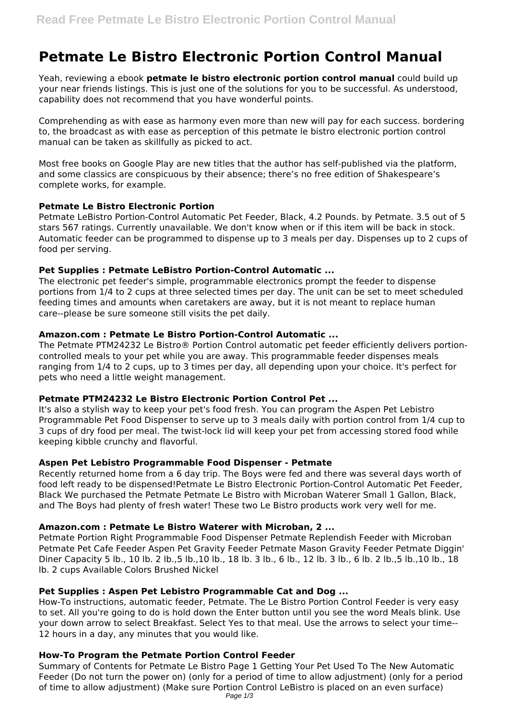# **Petmate Le Bistro Electronic Portion Control Manual**

Yeah, reviewing a ebook **petmate le bistro electronic portion control manual** could build up your near friends listings. This is just one of the solutions for you to be successful. As understood, capability does not recommend that you have wonderful points.

Comprehending as with ease as harmony even more than new will pay for each success. bordering to, the broadcast as with ease as perception of this petmate le bistro electronic portion control manual can be taken as skillfully as picked to act.

Most free books on Google Play are new titles that the author has self-published via the platform, and some classics are conspicuous by their absence; there's no free edition of Shakespeare's complete works, for example.

### **Petmate Le Bistro Electronic Portion**

Petmate LeBistro Portion-Control Automatic Pet Feeder, Black, 4.2 Pounds. by Petmate. 3.5 out of 5 stars 567 ratings. Currently unavailable. We don't know when or if this item will be back in stock. Automatic feeder can be programmed to dispense up to 3 meals per day. Dispenses up to 2 cups of food per serving.

## **Pet Supplies : Petmate LeBistro Portion-Control Automatic ...**

The electronic pet feeder's simple, programmable electronics prompt the feeder to dispense portions from 1/4 to 2 cups at three selected times per day. The unit can be set to meet scheduled feeding times and amounts when caretakers are away, but it is not meant to replace human care--please be sure someone still visits the pet daily.

### **Amazon.com : Petmate Le Bistro Portion-Control Automatic ...**

The Petmate PTM24232 Le Bistro® Portion Control automatic pet feeder efficiently delivers portioncontrolled meals to your pet while you are away. This programmable feeder dispenses meals ranging from 1/4 to 2 cups, up to 3 times per day, all depending upon your choice. It's perfect for pets who need a little weight management.

# **Petmate PTM24232 Le Bistro Electronic Portion Control Pet ...**

It's also a stylish way to keep your pet's food fresh. You can program the Aspen Pet Lebistro Programmable Pet Food Dispenser to serve up to 3 meals daily with portion control from 1/4 cup to 3 cups of dry food per meal. The twist-lock lid will keep your pet from accessing stored food while keeping kibble crunchy and flavorful.

# **Aspen Pet Lebistro Programmable Food Dispenser - Petmate**

Recently returned home from a 6 day trip. The Boys were fed and there was several days worth of food left ready to be dispensed!Petmate Le Bistro Electronic Portion-Control Automatic Pet Feeder, Black We purchased the Petmate Petmate Le Bistro with Microban Waterer Small 1 Gallon, Black, and The Boys had plenty of fresh water! These two Le Bistro products work very well for me.

# **Amazon.com : Petmate Le Bistro Waterer with Microban, 2 ...**

Petmate Portion Right Programmable Food Dispenser Petmate Replendish Feeder with Microban Petmate Pet Cafe Feeder Aspen Pet Gravity Feeder Petmate Mason Gravity Feeder Petmate Diggin' Diner Capacity 5 lb., 10 lb. 2 lb.,5 lb.,10 lb., 18 lb. 3 lb., 6 lb., 12 lb. 3 lb., 6 lb. 2 lb.,5 lb.,10 lb., 18 lb. 2 cups Available Colors Brushed Nickel

# **Pet Supplies : Aspen Pet Lebistro Programmable Cat and Dog ...**

How-To instructions, automatic feeder, Petmate. The Le Bistro Portion Control Feeder is very easy to set. All you're going to do is hold down the Enter button until you see the word Meals blink. Use your down arrow to select Breakfast. Select Yes to that meal. Use the arrows to select your time-- 12 hours in a day, any minutes that you would like.

# **How-To Program the Petmate Portion Control Feeder**

Summary of Contents for Petmate Le Bistro Page 1 Getting Your Pet Used To The New Automatic Feeder (Do not turn the power on) (only for a period of time to allow adjustment) (only for a period of time to allow adjustment) (Make sure Portion Control LeBistro is placed on an even surface) Page 1/3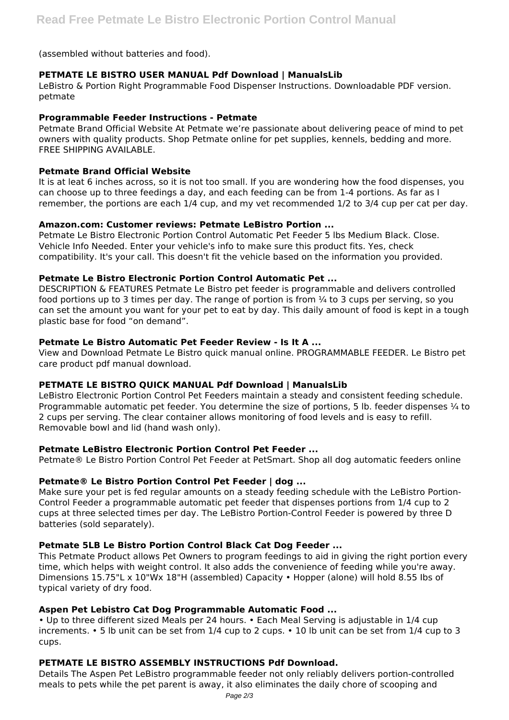(assembled without batteries and food).

# **PETMATE LE BISTRO USER MANUAL Pdf Download | ManualsLib**

LeBistro & Portion Right Programmable Food Dispenser Instructions. Downloadable PDF version. petmate

### **Programmable Feeder Instructions - Petmate**

Petmate Brand Official Website At Petmate we're passionate about delivering peace of mind to pet owners with quality products. Shop Petmate online for pet supplies, kennels, bedding and more. FREE SHIPPING AVAILABLE.

### **Petmate Brand Official Website**

It is at leat 6 inches across, so it is not too small. If you are wondering how the food dispenses, you can choose up to three feedings a day, and each feeding can be from 1-4 portions. As far as I remember, the portions are each 1/4 cup, and my vet recommended 1/2 to 3/4 cup per cat per day.

### **Amazon.com: Customer reviews: Petmate LeBistro Portion ...**

Petmate Le Bistro Electronic Portion Control Automatic Pet Feeder 5 lbs Medium Black. Close. Vehicle Info Needed. Enter your vehicle's info to make sure this product fits. Yes, check compatibility. It's your call. This doesn't fit the vehicle based on the information you provided.

### **Petmate Le Bistro Electronic Portion Control Automatic Pet ...**

DESCRIPTION & FEATURES Petmate Le Bistro pet feeder is programmable and delivers controlled food portions up to 3 times per day. The range of portion is from  $\frac{1}{4}$  to 3 cups per serving, so you can set the amount you want for your pet to eat by day. This daily amount of food is kept in a tough plastic base for food "on demand".

### **Petmate Le Bistro Automatic Pet Feeder Review - Is It A ...**

View and Download Petmate Le Bistro quick manual online. PROGRAMMABLE FEEDER. Le Bistro pet care product pdf manual download.

#### **PETMATE LE BISTRO QUICK MANUAL Pdf Download | ManualsLib**

LeBistro Electronic Portion Control Pet Feeders maintain a steady and consistent feeding schedule. Programmable automatic pet feeder. You determine the size of portions, 5 lb. feeder dispenses ¼ to 2 cups per serving. The clear container allows monitoring of food levels and is easy to refill. Removable bowl and lid (hand wash only).

#### **Petmate LeBistro Electronic Portion Control Pet Feeder ...**

Petmate® Le Bistro Portion Control Pet Feeder at PetSmart. Shop all dog automatic feeders online

# **Petmate® Le Bistro Portion Control Pet Feeder | dog ...**

Make sure your pet is fed regular amounts on a steady feeding schedule with the LeBistro Portion-Control Feeder a programmable automatic pet feeder that dispenses portions from 1/4 cup to 2 cups at three selected times per day. The LeBistro Portion-Control Feeder is powered by three D batteries (sold separately).

# **Petmate 5LB Le Bistro Portion Control Black Cat Dog Feeder ...**

This Petmate Product allows Pet Owners to program feedings to aid in giving the right portion every time, which helps with weight control. It also adds the convenience of feeding while you're away. Dimensions 15.75"L x 10"Wx 18"H (assembled) Capacity • Hopper (alone) will hold 8.55 Ibs of typical variety of dry food.

# **Aspen Pet Lebistro Cat Dog Programmable Automatic Food ...**

• Up to three different sized Meals per 24 hours. • Each Meal Serving is adjustable in 1/4 cup increments. • 5 lb unit can be set from 1/4 cup to 2 cups. • 10 lb unit can be set from 1/4 cup to 3 cups.

# **PETMATE LE BISTRO ASSEMBLY INSTRUCTIONS Pdf Download.**

Details The Aspen Pet LeBistro programmable feeder not only reliably delivers portion-controlled meals to pets while the pet parent is away, it also eliminates the daily chore of scooping and